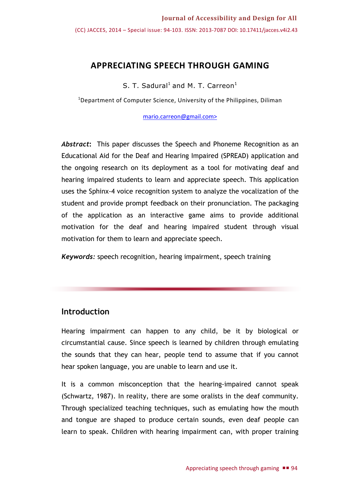# **APPRECIATING SPEECH THROUGH GAMING**

S. T. Sadural<sup>1</sup> and M. T. Carreon<sup>1</sup>

<sup>1</sup>Department of Computer Science, University of the Philippines, Diliman

[mario.carreon@gmail.com>](mailto:mario.carreon@gmail.com)

*Abstract***:** This paper discusses the Speech and Phoneme Recognition as an Educational Aid for the Deaf and Hearing Impaired (SPREAD) application and the ongoing research on its deployment as a tool for motivating deaf and hearing impaired students to learn and appreciate speech. This application uses the Sphinx-4 voice recognition system to analyze the vocalization of the student and provide prompt feedback on their pronunciation. The packaging of the application as an interactive game aims to provide additional motivation for the deaf and hearing impaired student through visual motivation for them to learn and appreciate speech.

*Keywords:* speech recognition, hearing impairment, speech training

## **Introduction**

Hearing impairment can happen to any child, be it by biological or circumstantial cause. Since speech is learned by children through emulating the sounds that they can hear, people tend to assume that if you cannot hear spoken language, you are unable to learn and use it.

It is a common misconception that the hearing-impaired cannot speak (Schwartz, 1987). In reality, there are some oralists in the deaf community. Through specialized teaching techniques, such as emulating how the mouth and tongue are shaped to produce certain sounds, even deaf people can learn to speak. Children with hearing impairment can, with proper training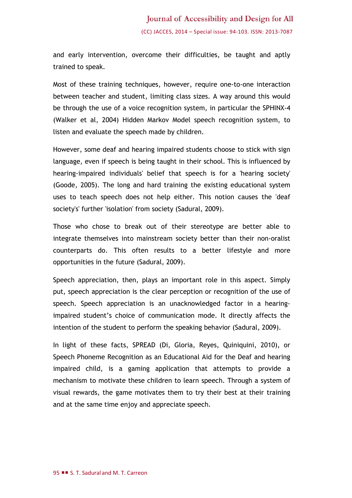and early intervention, overcome their difficulties, be taught and aptly trained to speak.

Most of these training techniques, however, require one-to-one interaction between teacher and student, limiting class sizes. A way around this would be through the use of a voice recognition system, in particular the SPHINX-4 (Walker et al, 2004) Hidden Markov Model speech recognition system, to listen and evaluate the speech made by children.

However, some deaf and hearing impaired students choose to stick with sign language, even if speech is being taught in their school. This is influenced by hearing-impaired individuals' belief that speech is for a 'hearing society' (Goode, 2005). The long and hard training the existing educational system uses to teach speech does not help either. This notion causes the 'deaf society's' further 'isolation' from society (Sadural, 2009).

Those who chose to break out of their stereotype are better able to integrate themselves into mainstream society better than their non-oralist counterparts do. This often results to a better lifestyle and more opportunities in the future (Sadural, 2009).

Speech appreciation, then, plays an important role in this aspect. Simply put, speech appreciation is the clear perception or recognition of the use of speech. Speech appreciation is an unacknowledged factor in a hearingimpaired student's choice of communication mode. It directly affects the intention of the student to perform the speaking behavior (Sadural, 2009).

In light of these facts, SPREAD (Di, Gloria, Reyes, Quiniquini, 2010), or Speech Phoneme Recognition as an Educational Aid for the Deaf and hearing impaired child, is a gaming application that attempts to provide a mechanism to motivate these children to learn speech. Through a system of visual rewards, the game motivates them to try their best at their training and at the same time enjoy and appreciate speech.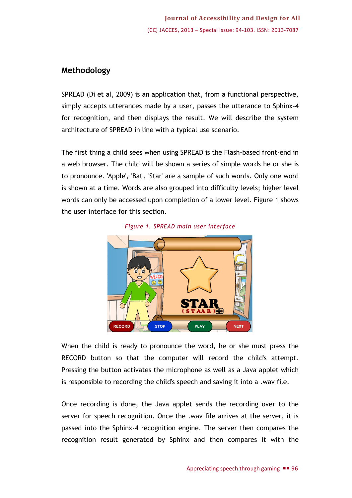# **Methodology**

SPREAD (Di et al, 2009) is an application that, from a functional perspective, simply accepts utterances made by a user, passes the utterance to Sphinx-4 for recognition, and then displays the result. We will describe the system architecture of SPREAD in line with a typical use scenario.

The first thing a child sees when using SPREAD is the Flash-based front-end in a web browser. The child will be shown a series of simple words he or she is to pronounce. 'Apple', 'Bat', 'Star' are a sample of such words. Only one word is shown at a time. Words are also grouped into difficulty levels; higher level words can only be accessed upon completion of a lower level. Figure 1 shows the user interface for this section.





When the child is ready to pronounce the word, he or she must press the RECORD button so that the computer will record the child's attempt. Pressing the button activates the microphone as well as a Java applet which is responsible to recording the child's speech and saving it into a .wav file.

Once recording is done, the Java applet sends the recording over to the server for speech recognition. Once the .wav file arrives at the server, it is passed into the Sphinx-4 recognition engine. The server then compares the recognition result generated by Sphinx and then compares it with the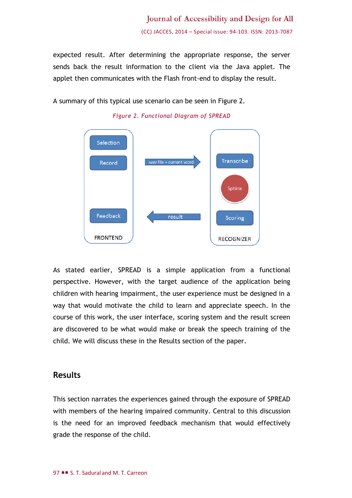expected result. After determining the appropriate response, the server sends back the result information to the client via the Java applet. The applet then communicates with the Flash front-end to display the result.

A summary of this typical use scenario can be seen in Figure 2.





As stated earlier, SPREAD is a simple application from a functional perspective. However, with the target audience of the application being children with hearing impairment, the user experience must be designed in a way that would motivate the child to learn and appreciate speech. In the course of this work, the user interface, scoring system and the result screen are discovered to be what would make or break the speech training of the child. We will discuss these in the Results section of the paper.

### **Results**

This section narrates the experiences gained through the exposure of SPREAD with members of the hearing impaired community. Central to this discussion is the need for an improved feedback mechanism that would effectively grade the response of the child.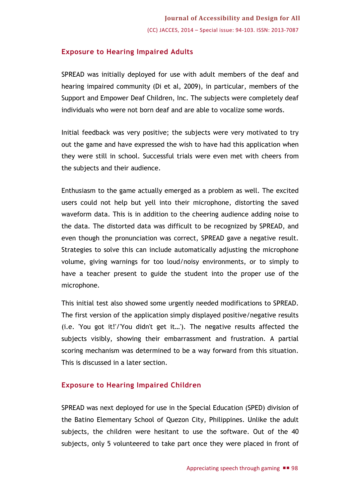### **Exposure to Hearing Impaired Adults**

SPREAD was initially deployed for use with adult members of the deaf and hearing impaired community (Di et al, 2009), in particular, members of the Support and Empower Deaf Children, Inc. The subjects were completely deaf individuals who were not born deaf and are able to vocalize some words.

Initial feedback was very positive; the subjects were very motivated to try out the game and have expressed the wish to have had this application when they were still in school. Successful trials were even met with cheers from the subjects and their audience.

Enthusiasm to the game actually emerged as a problem as well. The excited users could not help but yell into their microphone, distorting the saved waveform data. This is in addition to the cheering audience adding noise to the data. The distorted data was difficult to be recognized by SPREAD, and even though the pronunciation was correct, SPREAD gave a negative result. Strategies to solve this can include automatically adjusting the microphone volume, giving warnings for too loud/noisy environments, or to simply to have a teacher present to guide the student into the proper use of the microphone.

This initial test also showed some urgently needed modifications to SPREAD. The first version of the application simply displayed positive/negative results (i.e. 'You got it!'/'You didn't get it…'). The negative results affected the subjects visibly, showing their embarrassment and frustration. A partial scoring mechanism was determined to be a way forward from this situation. This is discussed in a later section.

#### **Exposure to Hearing Impaired Children**

SPREAD was next deployed for use in the Special Education (SPED) division of the Batino Elementary School of Quezon City, Philippines. Unlike the adult subjects, the children were hesitant to use the software. Out of the 40 subjects, only 5 volunteered to take part once they were placed in front of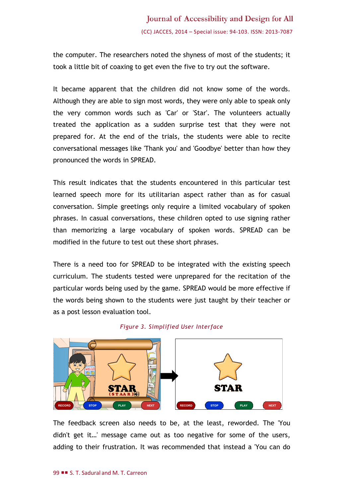the computer. The researchers noted the shyness of most of the students; it took a little bit of coaxing to get even the five to try out the software.

It became apparent that the children did not know some of the words. Although they are able to sign most words, they were only able to speak only the very common words such as 'Car' or 'Star'. The volunteers actually treated the application as a sudden surprise test that they were not prepared for. At the end of the trials, the students were able to recite conversational messages like 'Thank you' and 'Goodbye' better than how they pronounced the words in SPREAD.

This result indicates that the students encountered in this particular test learned speech more for its utilitarian aspect rather than as for casual conversation. Simple greetings only require a limited vocabulary of spoken phrases. In casual conversations, these children opted to use signing rather than memorizing a large vocabulary of spoken words. SPREAD can be modified in the future to test out these short phrases.

There is a need too for SPREAD to be integrated with the existing speech curriculum. The students tested were unprepared for the recitation of the particular words being used by the game. SPREAD would be more effective if the words being shown to the students were just taught by their teacher or as a post lesson evaluation tool.





The feedback screen also needs to be, at the least, reworded. The 'You didn't get it…' message came out as too negative for some of the users, adding to their frustration. It was recommended that instead a 'You can do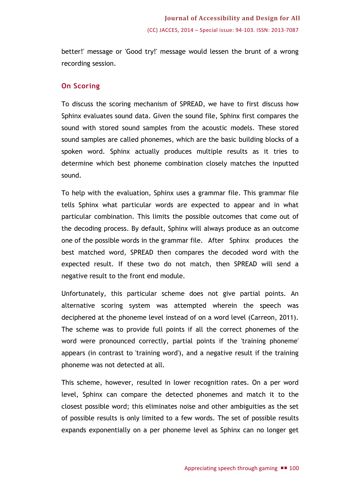better!' message or 'Good try!' message would lessen the brunt of a wrong recording session.

#### **On Scoring**

To discuss the scoring mechanism of SPREAD, we have to first discuss how Sphinx evaluates sound data. Given the sound file, Sphinx first compares the sound with stored sound samples from the acoustic models. These stored sound samples are called phonemes, which are the basic building blocks of a spoken word. Sphinx actually produces multiple results as it tries to determine which best phoneme combination closely matches the inputted sound.

To help with the evaluation, Sphinx uses a grammar file. This grammar file tells Sphinx what particular words are expected to appear and in what particular combination. This limits the possible outcomes that come out of the decoding process. By default, Sphinx will always produce as an outcome one of the possible words in the grammar file. After Sphinx produces the best matched word, SPREAD then compares the decoded word with the expected result. If these two do not match, then SPREAD will send a negative result to the front end module.

Unfortunately, this particular scheme does not give partial points. An alternative scoring system was attempted wherein the speech was deciphered at the phoneme level instead of on a word level (Carreon, 2011). The scheme was to provide full points if all the correct phonemes of the word were pronounced correctly, partial points if the 'training phoneme' appears (in contrast to 'training word'), and a negative result if the training phoneme was not detected at all.

This scheme, however, resulted in lower recognition rates. On a per word level, Sphinx can compare the detected phonemes and match it to the closest possible word; this eliminates noise and other ambiguities as the set of possible results is only limited to a few words. The set of possible results expands exponentially on a per phoneme level as Sphinx can no longer get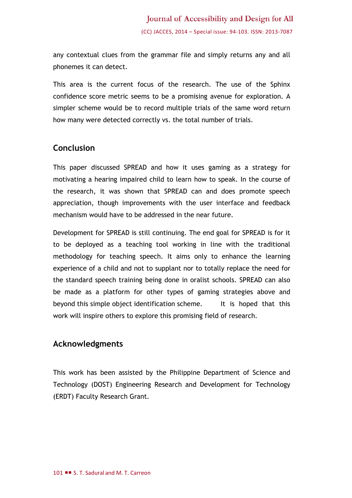any contextual clues from the grammar file and simply returns any and all phonemes it can detect.

This area is the current focus of the research. The use of the Sphinx confidence score metric seems to be a promising avenue for exploration. A simpler scheme would be to record multiple trials of the same word return how many were detected correctly vs. the total number of trials.

## **Conclusion**

This paper discussed SPREAD and how it uses gaming as a strategy for motivating a hearing impaired child to learn how to speak. In the course of the research, it was shown that SPREAD can and does promote speech appreciation, though improvements with the user interface and feedback mechanism would have to be addressed in the near future.

Development for SPREAD is still continuing. The end goal for SPREAD is for it to be deployed as a teaching tool working in line with the traditional methodology for teaching speech. It aims only to enhance the learning experience of a child and not to supplant nor to totally replace the need for the standard speech training being done in oralist schools. SPREAD can also be made as a platform for other types of gaming strategies above and beyond this simple object identification scheme. It is hoped that this work will inspire others to explore this promising field of research.

## **Acknowledgments**

This work has been assisted by the Philippine Department of Science and Technology (DOST) Engineering Research and Development for Technology (ERDT) Faculty Research Grant.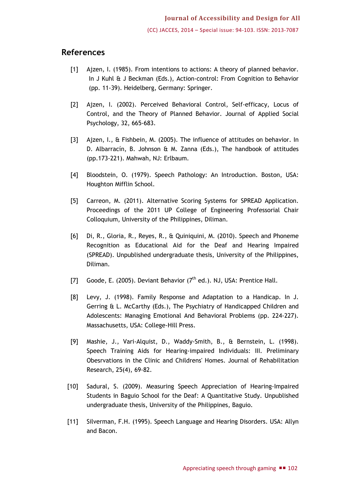## **References**

- [1] Ajzen, I. (1985). From intentions to actions: A theory of planned behavior. In J Kuhl & J Beckman (Eds.), Action-control: From Cognition to Behavior (pp. 11-39). Heidelberg, Germany: Springer.
- [2] Ajzen, I. (2002). Perceived Behavioral Control, Self-efficacy, Locus of Control, and the Theory of Planned Behavior. Journal of Applied Social Psychology, 32, 665-683.
- [3] Ajzen, I., & Fishbein, M. (2005). The influence of attitudes on behavior. In D. Albarracín, B. Johnson & M. Zanna (Eds.), The handbook of attitudes (pp.173-221). Mahwah, NJ: Erlbaum.
- [4] Bloodstein, O. (1979). Speech Pathology: An Introduction. Boston, USA: Houghton Mifflin School.
- [5] Carreon, M. (2011). Alternative Scoring Systems for SPREAD Application. Proceedings of the 2011 UP College of Engineering Professorial Chair Colloquium, University of the Philippines, Diliman.
- [6] Di, R., Gloria, R., Reyes, R., & Quiniquini, M. (2010). Speech and Phoneme Recognition as Educational Aid for the Deaf and Hearing Impaired (SPREAD). Unpublished undergraduate thesis, University of the Philippines, Diliman.
- [7] Goode, E. (2005). Deviant Behavior  $(7<sup>th</sup>$  ed.). NJ, USA: Prentice Hall.
- [8] Levy, J. (1998). Family Response and Adaptation to a Handicap. In J. Gerring & L. McCarthy (Eds.), The Psychiatry of Handicapped Children and Adolescents: Managing Emotional And Behavioral Problems (pp. 224-227). Massachusetts, USA: College-Hill Press.
- [9] Mashie, J., Vari-Alquist, D., Waddy-Smith, B., & Bernstein, L. (1998). Speech Training Aids for Hearing-impaired Individuals: III. Preliminary Obesrvations in the Clinic and Childrens' Homes. Journal of Rehabilitation Research, 25(4), 69-82.
- [10] Sadural, S. (2009). Measuring Speech Appreciation of Hearing-Impaired Students in Baguio School for the Deaf: A Quantitative Study. Unpublished undergraduate thesis, University of the Philippines, Baguio.
- [11] Silverman, F.H. (1995). Speech Language and Hearing Disorders. USA: Allyn and Bacon.